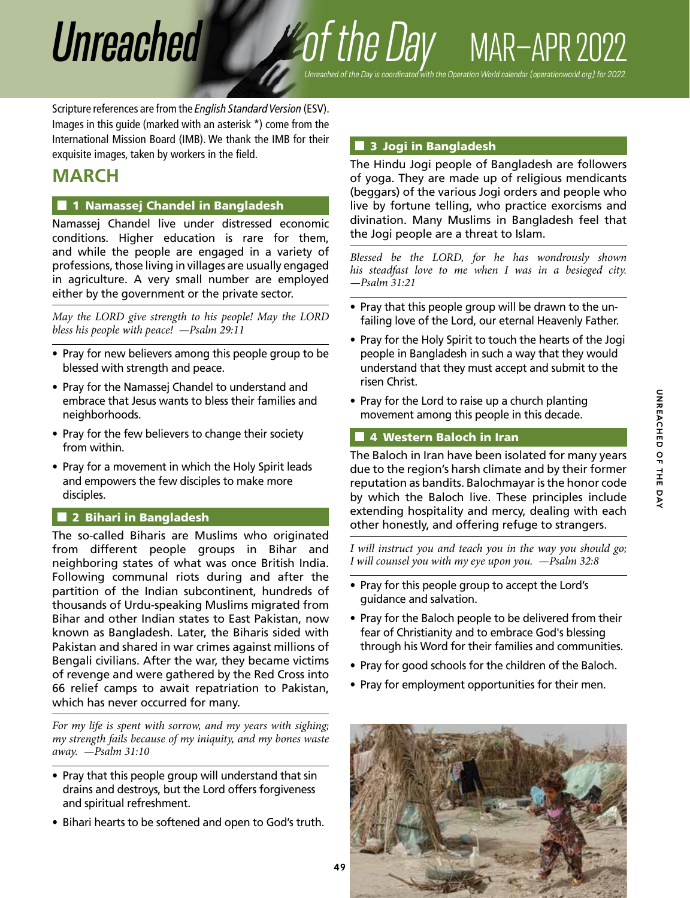# *Unreached of the Day* MAR–APR 2022

Scripture references are from the *English Standard Version* (ESV). Images in this guide (marked with an asterisk \*) come from the International Mission Board (IMB). We thank the IMB for their *Unreached of the Day is coordinated with the Operation World calendar (operationworld.org) for 2022.*

# **MARCH**

# **1** 1 Namassej Chandel in Bangladesh

exquisite images, taken by workers in the field.

Namassej Chandel live under distressed economic conditions. Higher education is rare for them, and while the people are engaged in a variety of professions, those living in villages are usually engaged in agriculture. A very small number are employed either by the government or the private sector.

*May the LORD give strength to his people! May the LORD bless his people with peace! —Psalm 29:11*

- Pray for new believers among this people group to be blessed with strength and peace.
- Pray for the Namassej Chandel to understand and embrace that Jesus wants to bless their families and neighborhoods.
- Pray for the few believers to change their society from within.
- Pray for a movement in which the Holy Spirit leads and empowers the few disciples to make more disciples.

# 2 Bihari in Bangladesh

The so-called Biharis are Muslims who originated from different people groups in Bihar and neighboring states of what was once British India. Following communal riots during and after the partition of the Indian subcontinent, hundreds of thousands of Urdu-speaking Muslims migrated from Bihar and other Indian states to East Pakistan, now known as Bangladesh. Later, the Biharis sided with Pakistan and shared in war crimes against millions of Bengali civilians. After the war, they became victims of revenge and were gathered by the Red Cross into 66 relief camps to await repatriation to Pakistan, which has never occurred for many.

*For my life is spent with sorrow, and my years with sighing; my strength fails because of my iniquity, and my bones waste away. —Psalm 31:10*

- Pray that this people group will understand that sin drains and destroys, but the Lord offers forgiveness and spiritual refreshment.
- Bihari hearts to be softened and open to God's truth.

# 3 Jogi in Bangladesh

The Hindu Jogi people of Bangladesh are followers of yoga. They are made up of religious mendicants (beggars) of the various Jogi orders and people who live by fortune telling, who practice exorcisms and divination. Many Muslims in Bangladesh feel that the Jogi people are a threat to Islam.

*Blessed be the LORD, for he has wondrously shown his steadfast love to me when I was in a besieged city. —Psalm 31:21*

- Pray that this people group will be drawn to the unfailing love of the Lord, our eternal Heavenly Father.
- Pray for the Holy Spirit to touch the hearts of the Jogi people in Bangladesh in such a way that they would understand that they must accept and submit to the risen Christ.
- Pray for the Lord to raise up a church planting movement among this people in this decade.

# 4 Western Baloch in Iran

The Baloch in Iran have been isolated for many years due to the region's harsh climate and by their former reputation as bandits. Balochmayar is the honor code by which the Baloch live. These principles include extending hospitality and mercy, dealing with each other honestly, and offering refuge to strangers.

*I will instruct you and teach you in the way you should go; I will counsel you with my eye upon you. —Psalm 32:8*

- Pray for this people group to accept the Lord's guidance and salvation.
- Pray for the Baloch people to be delivered from their fear of Christianity and to embrace God's blessing through his Word for their families and communities.
- Pray for good schools for the children of the Baloch.
- Pray for employment opportunities for their men.

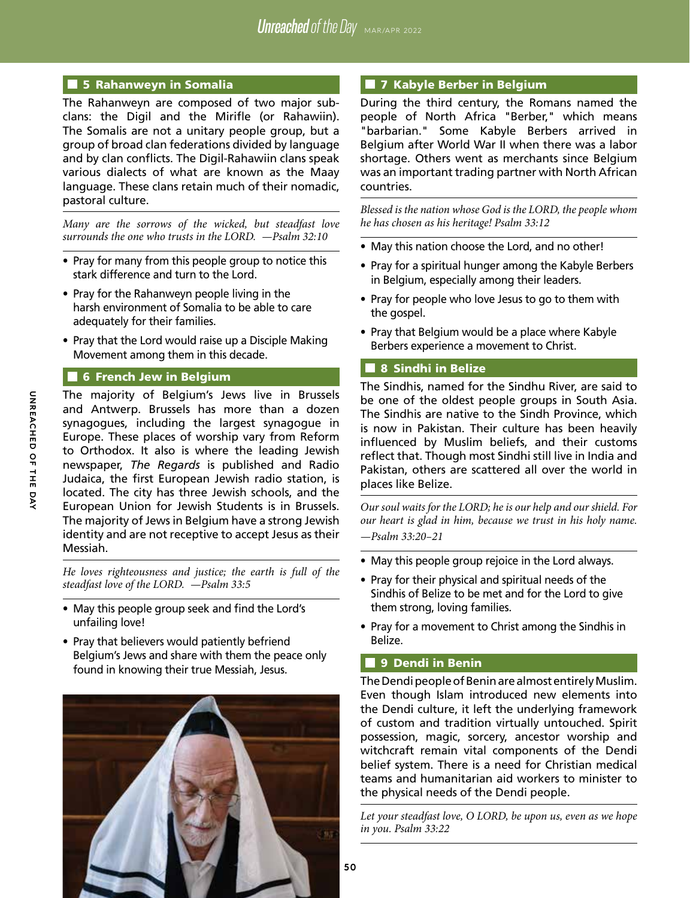## **5 Rahanweyn in Somalia**

The Rahanweyn are composed of two major subclans: the Digil and the Mirifle (or Rahawiin). The Somalis are not a unitary people group, but a group of broad clan federations divided by language and by clan conflicts. The Digil-Rahawiin clans speak various dialects of what are known as the Maay language. These clans retain much of their nomadic, pastoral culture.

*Many are the sorrows of the wicked, but steadfast love surrounds the one who trusts in the LORD. —Psalm 32:10*

- Pray for many from this people group to notice this stark difference and turn to the Lord.
- Pray for the Rahanweyn people living in the harsh environment of Somalia to be able to care adequately for their families.
- Pray that the Lord would raise up a Disciple Making Movement among them in this decade.

#### **6** French Jew in Belgium

The majority of Belgium's Jews live in Brussels and Antwerp. Brussels has more than a dozen synagogues, including the largest synagogue in Europe. These places of worship vary from Reform to Orthodox. It also is where the leading Jewish newspaper, *The Regards* is published and Radio Judaica, the first European Jewish radio station, is located. The city has three Jewish schools, and the European Union for Jewish Students is in Brussels. The majority of Jews in Belgium have a strong Jewish identity and are not receptive to accept Jesus as their Messiah.

*He loves righteousness and justice; the earth is full of the steadfast love of the LORD. —Psalm 33:5*

- May this people group seek and find the Lord's unfailing love!
- Pray that believers would patiently befriend Belgium's Jews and share with them the peace only found in knowing their true Messiah, Jesus.



#### **7 Kabyle Berber in Belgium**

During the third century, the Romans named the people of North Africa "Berber," which means "barbarian." Some Kabyle Berbers arrived in Belgium after World War II when there was a labor shortage. Others went as merchants since Belgium was an important trading partner with North African countries.

*Blessed is the nation whose God is the LORD, the people whom he has chosen as his heritage! Psalm 33:12*

- May this nation choose the Lord, and no other!
- Pray for a spiritual hunger among the Kabyle Berbers in Belgium, especially among their leaders.
- Pray for people who love Jesus to go to them with the gospel.
- Pray that Belgium would be a place where Kabyle Berbers experience a movement to Christ.

#### 8 Sindhi in Belize

The Sindhis, named for the Sindhu River, are said to be one of the oldest people groups in South Asia. The Sindhis are native to the Sindh Province, which is now in Pakistan. Their culture has been heavily influenced by Muslim beliefs, and their customs reflect that. Though most Sindhi still live in India and Pakistan, others are scattered all over the world in places like Belize.

*Our soul waits for the LORD; he is our help and our shield. For our heart is glad in him, because we trust in his holy name. —Psalm 33:20–21*

- May this people group rejoice in the Lord always.
- Pray for their physical and spiritual needs of the Sindhis of Belize to be met and for the Lord to give them strong, loving families.
- Pray for a movement to Christ among the Sindhis in Belize.

# **9** Dendi in Benin

The Dendi people of Benin are almost entirely Muslim. Even though Islam introduced new elements into the Dendi culture, it left the underlying framework of custom and tradition virtually untouched. Spirit possession, magic, sorcery, ancestor worship and witchcraft remain vital components of the Dendi belief system. There is a need for Christian medical teams and humanitarian aid workers to minister to the physical needs of the Dendi people.

*Let your steadfast love, O LORD, be upon us, even as we hope in you. Psalm 33:22*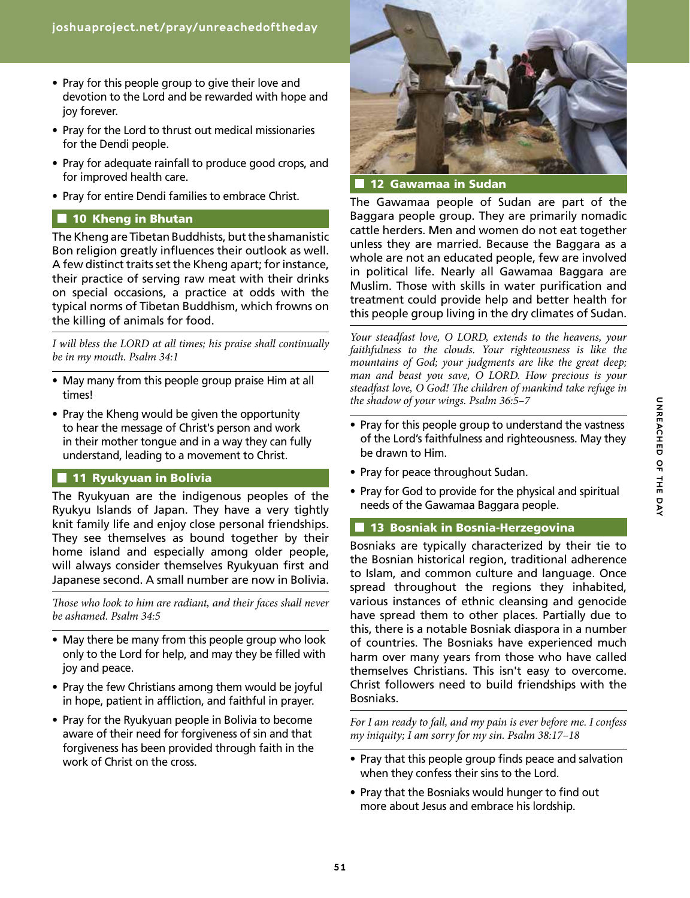- Pray for this people group to give their love and devotion to the Lord and be rewarded with hope and joy forever.
- Pray for the Lord to thrust out medical missionaries for the Dendi people.
- Pray for adequate rainfall to produce good crops, and for improved health care.
- Pray for entire Dendi families to embrace Christ.

#### **10 Kheng in Bhutan**

The Kheng are Tibetan Buddhists, but the shamanistic Bon religion greatly influences their outlook as well. A few distinct traits set the Kheng apart; for instance, their practice of serving raw meat with their drinks on special occasions, a practice at odds with the typical norms of Tibetan Buddhism, which frowns on the killing of animals for food.

*I will bless the LORD at all times; his praise shall continually be in my mouth. Psalm 34:1*

- May many from this people group praise Him at all times!
- Pray the Kheng would be given the opportunity to hear the message of Christ's person and work in their mother tongue and in a way they can fully understand, leading to a movement to Christ.

#### **11 Ryukyuan in Bolivia**

The Ryukyuan are the indigenous peoples of the Ryukyu Islands of Japan. They have a very tightly knit family life and enjoy close personal friendships. They see themselves as bound together by their home island and especially among older people, will always consider themselves Ryukyuan first and Japanese second. A small number are now in Bolivia.

*Those who look to him are radiant, and their faces shall never be ashamed. Psalm 34:5*

- May there be many from this people group who look only to the Lord for help, and may they be filled with joy and peace.
- Pray the few Christians among them would be joyful in hope, patient in affliction, and faithful in prayer.
- Pray for the Ryukyuan people in Bolivia to become aware of their need for forgiveness of sin and that forgiveness has been provided through faith in the work of Christ on the cross.



The Gawamaa people of Sudan are part of the Baggara people group. They are primarily nomadic cattle herders. Men and women do not eat together unless they are married. Because the Baggara as a whole are not an educated people, few are involved in political life. Nearly all Gawamaa Baggara are Muslim. Those with skills in water purification and treatment could provide help and better health for this people group living in the dry climates of Sudan.

*Your steadfast love, O LORD, extends to the heavens, your faithfulness to the clouds. Your righteousness is like the mountains of God; your judgments are like the great deep; man and beast you save, O LORD. How precious is your steadfast love, O God! The children of mankind take refuge in the shadow of your wings. Psalm 36:5–7*

- Pray for this people group to understand the vastness of the Lord's faithfulness and righteousness. May they be drawn to Him.
- Pray for peace throughout Sudan.
- Pray for God to provide for the physical and spiritual needs of the Gawamaa Baggara people.

#### **13 Bosniak in Bosnia-Herzegovina**

Bosniaks are typically characterized by their tie to the Bosnian historical region, traditional adherence to Islam, and common culture and language. Once spread throughout the regions they inhabited, various instances of ethnic cleansing and genocide have spread them to other places. Partially due to this, there is a notable Bosniak diaspora in a number of countries. The Bosniaks have experienced much harm over many years from those who have called themselves Christians. This isn't easy to overcome. Christ followers need to build friendships with the Bosniaks.

*For I am ready to fall, and my pain is ever before me. I confess my iniquity; I am sorry for my sin. Psalm 38:17–18*

- Pray that this people group finds peace and salvation when they confess their sins to the Lord.
- Pray that the Bosniaks would hunger to find out more about Jesus and embrace his lordship.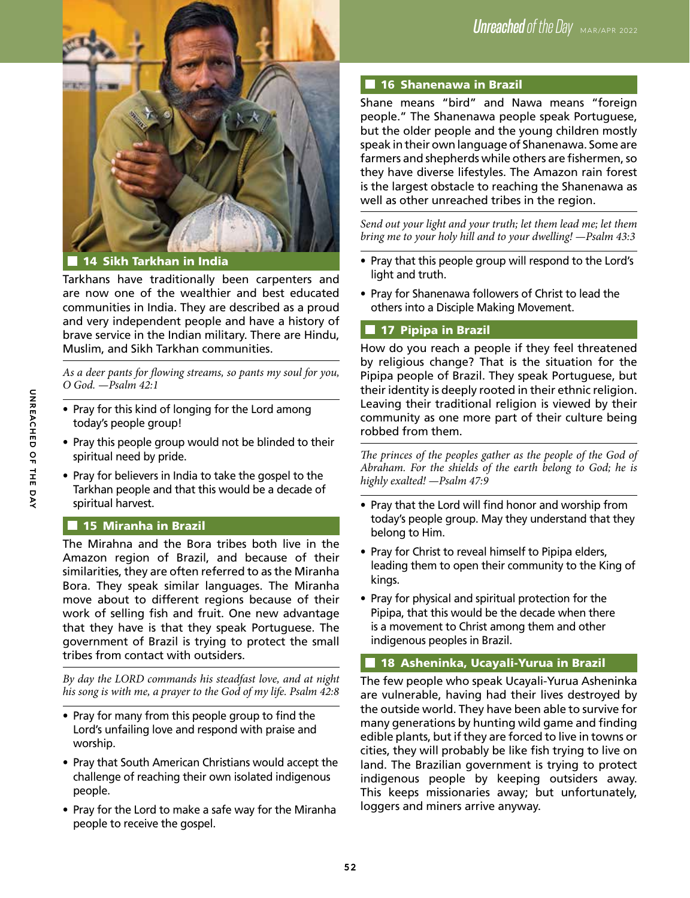

14 Sikh Tarkhan in India

Tarkhans have traditionally been carpenters and are now one of the wealthier and best educated communities in India. They are described as a proud and very independent people and have a history of brave service in the Indian military. There are Hindu, Muslim, and Sikh Tarkhan communities.

*As a deer pants for flowing streams, so pants my soul for you, O God. —Psalm 42:1*

- Pray for this kind of longing for the Lord among today's people group!
- Pray this people group would not be blinded to their spiritual need by pride.
- Pray for believers in India to take the gospel to the Tarkhan people and that this would be a decade of spiritual harvest.

# **15 Miranha in Brazil**

The Mirahna and the Bora tribes both live in the Amazon region of Brazil, and because of their similarities, they are often referred to as the Miranha Bora. They speak similar languages. The Miranha move about to different regions because of their work of selling fish and fruit. One new advantage that they have is that they speak Portuguese. The government of Brazil is trying to protect the small tribes from contact with outsiders.

*By day the LORD commands his steadfast love, and at night his song is with me, a prayer to the God of my life. Psalm 42:8*

- Pray for many from this people group to find the Lord's unfailing love and respond with praise and worship.
- Pray that South American Christians would accept the challenge of reaching their own isolated indigenous people.
- Pray for the Lord to make a safe way for the Miranha people to receive the gospel.

# **16 Shanenawa in Brazil**

Shane means "bird" and Nawa means "foreign people." The Shanenawa people speak Portuguese, but the older people and the young children mostly speak in their own language of Shanenawa. Some are farmers and shepherds while others are fishermen, so they have diverse lifestyles. The Amazon rain forest is the largest obstacle to reaching the Shanenawa as well as other unreached tribes in the region.

*Send out your light and your truth; let them lead me; let them bring me to your holy hill and to your dwelling! —Psalm 43:3*

- Pray that this people group will respond to the Lord's light and truth.
- Pray for Shanenawa followers of Christ to lead the others into a Disciple Making Movement.

# **17 Pipipa in Brazil**

How do you reach a people if they feel threatened by religious change? That is the situation for the Pipipa people of Brazil. They speak Portuguese, but their identity is deeply rooted in their ethnic religion. Leaving their traditional religion is viewed by their community as one more part of their culture being robbed from them.

The princes of the peoples gather as the people of the God of *Abraham. For the shields of the earth belong to God; he is highly exalted! —Psalm 47:9*

- Pray that the Lord will find honor and worship from today's people group. May they understand that they belong to Him.
- Pray for Christ to reveal himself to Pipipa elders, leading them to open their community to the King of kings.
- Pray for physical and spiritual protection for the Pipipa, that this would be the decade when there is a movement to Christ among them and other indigenous peoples in Brazil.

# **18 Asheninka, Ucayali-Yurua in Brazil**

The few people who speak Ucayali-Yurua Asheninka are vulnerable, having had their lives destroyed by the outside world. They have been able to survive for many generations by hunting wild game and finding edible plants, but if they are forced to live in towns or cities, they will probably be like fish trying to live on land. The Brazilian government is trying to protect indigenous people by keeping outsiders away. This keeps missionaries away; but unfortunately, loggers and miners arrive anyway.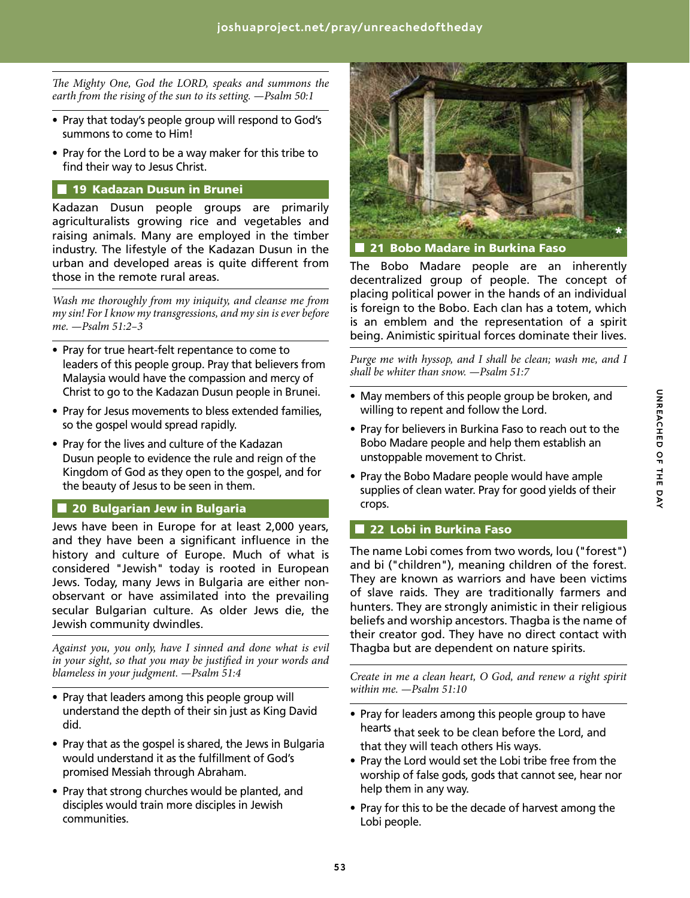*The Mighty One, God the LORD, speaks and summons the earth from the rising of the sun to its setting. —Psalm 50:1*

- Pray that today's people group will respond to God's summons to come to Him!
- Pray for the Lord to be a way maker for this tribe to find their way to Jesus Christ.

# **19 Kadazan Dusun in Brunei**

Kadazan Dusun people groups are primarily agriculturalists growing rice and vegetables and raising animals. Many are employed in the timber industry. The lifestyle of the Kadazan Dusun in the urban and developed areas is quite different from those in the remote rural areas.

*Wash me thoroughly from my iniquity, and cleanse me from my sin! For I know my transgressions, and my sin is ever before me. —Psalm 51:2–3*

- Pray for true heart-felt repentance to come to leaders of this people group. Pray that believers from Malaysia would have the compassion and mercy of Christ to go to the Kadazan Dusun people in Brunei.
- Pray for Jesus movements to bless extended families, so the gospel would spread rapidly.
- Pray for the lives and culture of the Kadazan Dusun people to evidence the rule and reign of the Kingdom of God as they open to the gospel, and for the beauty of Jesus to be seen in them.

#### **20 Bulgarian Jew in Bulgaria**

Jews have been in Europe for at least 2,000 years, and they have been a significant influence in the history and culture of Europe. Much of what is considered "Jewish" today is rooted in European Jews. Today, many Jews in Bulgaria are either nonobservant or have assimilated into the prevailing secular Bulgarian culture. As older Jews die, the Jewish community dwindles.

*Against you, you only, have I sinned and done what is evil in your sight, so that you may be justified in your words and blameless in your judgment. —Psalm 51:4*

- Pray that leaders among this people group will understand the depth of their sin just as King David did.
- Pray that as the gospel is shared, the Jews in Bulgaria would understand it as the fulfillment of God's promised Messiah through Abraham.
- Pray that strong churches would be planted, and disciples would train more disciples in Jewish communities.



The Bobo Madare people are an inherently decentralized group of people. The concept of placing political power in the hands of an individual is foreign to the Bobo. Each clan has a totem, which is an emblem and the representation of a spirit being. Animistic spiritual forces dominate their lives.

*Purge me with hyssop, and I shall be clean; wash me, and I shall be whiter than snow. —Psalm 51:7*

- May members of this people group be broken, and willing to repent and follow the Lord.
- Pray for believers in Burkina Faso to reach out to the Bobo Madare people and help them establish an unstoppable movement to Christ.
- Pray the Bobo Madare people would have ample supplies of clean water. Pray for good yields of their crops.

#### 22 Lobi in Burkina Faso

The name Lobi comes from two words, lou ("forest") and bi ("children"), meaning children of the forest. They are known as warriors and have been victims of slave raids. They are traditionally farmers and hunters. They are strongly animistic in their religious beliefs and worship ancestors. Thagba is the name of their creator god. They have no direct contact with Thagba but are dependent on nature spirits.

*Create in me a clean heart, O God, and renew a right spirit within me. —Psalm 51:10*

- Pray for leaders among this people group to have hearts that seek to be clean before the Lord, and that they will teach others His ways.
- Pray the Lord would set the Lobi tribe free from the worship of false gods, gods that cannot see, hear nor help them in any way.
- Pray for this to be the decade of harvest among the Lobi people.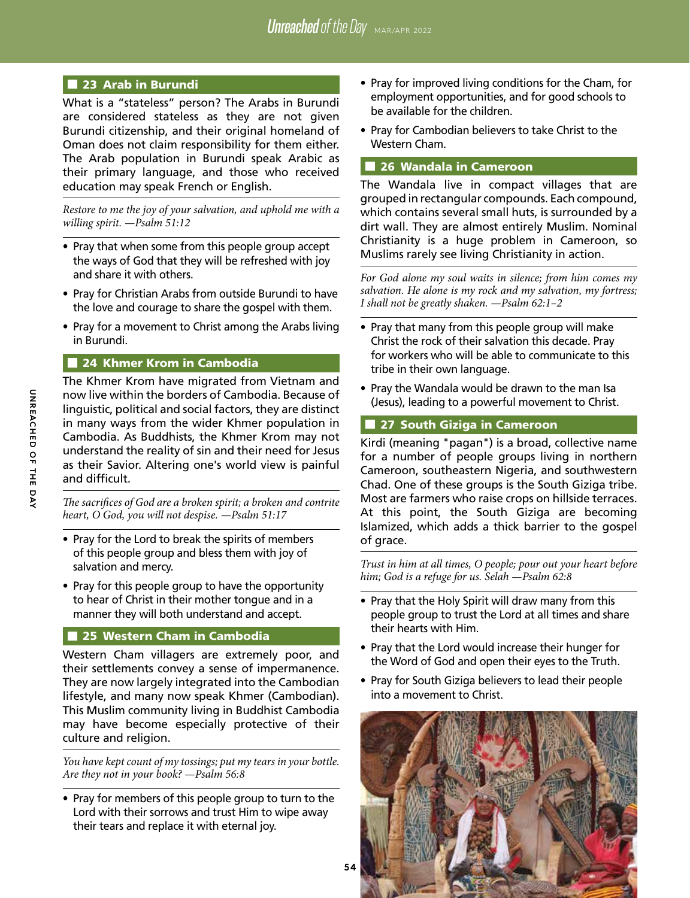# 23 Arab in Burundi

What is a "stateless" person? The Arabs in Burundi are considered stateless as they are not given Burundi citizenship, and their original homeland of Oman does not claim responsibility for them either. The Arab population in Burundi speak Arabic as their primary language, and those who received education may speak French or English.

*Restore to me the joy of your salvation, and uphold me with a willing spirit. —Psalm 51:12*

- Pray that when some from this people group accept the ways of God that they will be refreshed with joy and share it with others.
- Pray for Christian Arabs from outside Burundi to have the love and courage to share the gospel with them.
- Pray for a movement to Christ among the Arabs living in Burundi.

#### 24 Khmer Krom in Cambodia

The Khmer Krom have migrated from Vietnam and now live within the borders of Cambodia. Because of linguistic, political and social factors, they are distinct in many ways from the wider Khmer population in Cambodia. As Buddhists, the Khmer Krom may not understand the reality of sin and their need for Jesus as their Savior. Altering one's world view is painful and difficult.

*The sacrifices of God are a broken spirit; a broken and contrite heart, O God, you will not despise. —Psalm 51:17*

- Pray for the Lord to break the spirits of members of this people group and bless them with joy of salvation and mercy.
- Pray for this people group to have the opportunity to hear of Christ in their mother tongue and in a manner they will both understand and accept.

#### 25 Western Cham in Cambodia

Western Cham villagers are extremely poor, and their settlements convey a sense of impermanence. They are now largely integrated into the Cambodian lifestyle, and many now speak Khmer (Cambodian). This Muslim community living in Buddhist Cambodia may have become especially protective of their culture and religion.

*You have kept count of my tossings; put my tears in your bottle. Are they not in your book? —Psalm 56:8*

• Pray for members of this people group to turn to the Lord with their sorrows and trust Him to wipe away their tears and replace it with eternal joy.

- Pray for improved living conditions for the Cham, for employment opportunities, and for good schools to be available for the children.
- Pray for Cambodian believers to take Christ to the Western Cham.

#### ■ 26 Wandala in Cameroon

The Wandala live in compact villages that are grouped in rectangular compounds. Each compound, which contains several small huts, is surrounded by a dirt wall. They are almost entirely Muslim. Nominal Christianity is a huge problem in Cameroon, so Muslims rarely see living Christianity in action.

*For God alone my soul waits in silence; from him comes my salvation. He alone is my rock and my salvation, my fortress; I shall not be greatly shaken. —Psalm 62:1–2*

- Pray that many from this people group will make Christ the rock of their salvation this decade. Pray for workers who will be able to communicate to this tribe in their own language.
- Pray the Wandala would be drawn to the man Isa (Jesus), leading to a powerful movement to Christ.

#### **27 South Giziga in Cameroon**

Kirdi (meaning "pagan") is a broad, collective name for a number of people groups living in northern Cameroon, southeastern Nigeria, and southwestern Chad. One of these groups is the South Giziga tribe. Most are farmers who raise crops on hillside terraces. At this point, the South Giziga are becoming Islamized, which adds a thick barrier to the gospel of grace.

*Trust in him at all times, O people; pour out your heart before him; God is a refuge for us. Selah —Psalm 62:8*

- Pray that the Holy Spirit will draw many from this people group to trust the Lord at all times and share their hearts with Him.
- Pray that the Lord would increase their hunger for the Word of God and open their eyes to the Truth.
- Pray for South Giziga believers to lead their people into a movement to Christ.

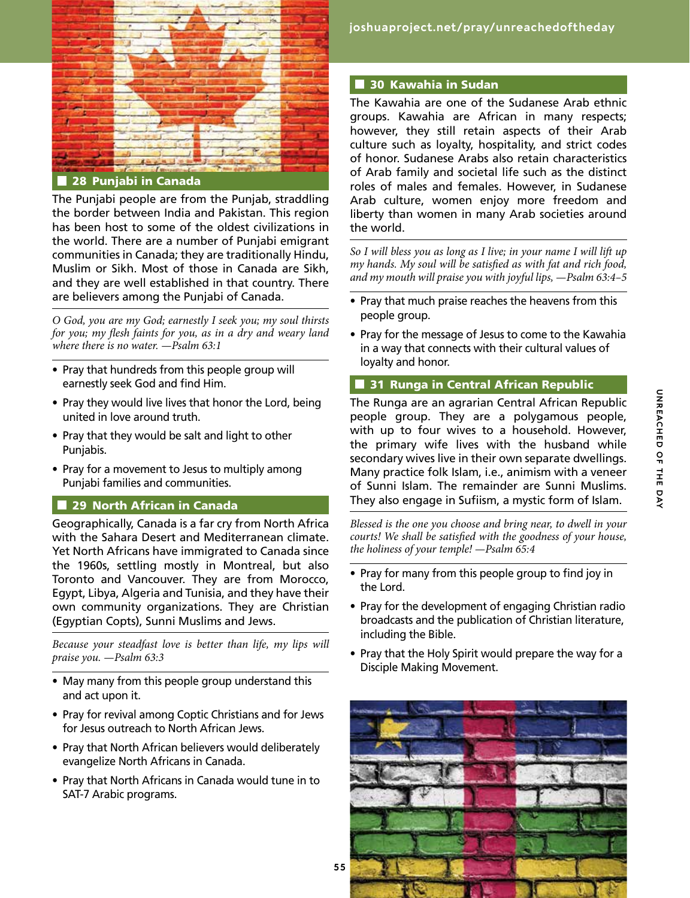

**28 Punjabi in Canada** 

The Punjabi people are from the Punjab, straddling the border between India and Pakistan. This region has been host to some of the oldest civilizations in the world. There are a number of Punjabi emigrant communities in Canada; they are traditionally Hindu, Muslim or Sikh. Most of those in Canada are Sikh, and they are well established in that country. There are believers among the Punjabi of Canada.

*O God, you are my God; earnestly I seek you; my soul thirsts for you; my flesh faints for you, as in a dry and weary land where there is no water. —Psalm 63:1*

- Pray that hundreds from this people group will earnestly seek God and find Him.
- Pray they would live lives that honor the Lord, being united in love around truth.
- Pray that they would be salt and light to other Punjabis.
- Pray for a movement to Jesus to multiply among Punjabi families and communities.

#### **29 North African in Canada**

Geographically, Canada is a far cry from North Africa with the Sahara Desert and Mediterranean climate. Yet North Africans have immigrated to Canada since the 1960s, settling mostly in Montreal, but also Toronto and Vancouver. They are from Morocco, Egypt, Libya, Algeria and Tunisia, and they have their own community organizations. They are Christian (Egyptian Copts), Sunni Muslims and Jews.

*Because your steadfast love is better than life, my lips will praise you. —Psalm 63:3*

- May many from this people group understand this and act upon it.
- Pray for revival among Coptic Christians and for Jews for Jesus outreach to North African Jews.
- Pray that North African believers would deliberately evangelize North Africans in Canada.
- Pray that North Africans in Canada would tune in to SAT-7 Arabic programs.

*Unreached of the Day* MAR/APR 2022 **joshuaproject.net/pray/unreachedoftheday**

#### 30 Kawahia in Sudan

The Kawahia are one of the Sudanese Arab ethnic groups. Kawahia are African in many respects; however, they still retain aspects of their Arab culture such as loyalty, hospitality, and strict codes of honor. Sudanese Arabs also retain characteristics of Arab family and societal life such as the distinct roles of males and females. However, in Sudanese Arab culture, women enjoy more freedom and liberty than women in many Arab societies around the world.

*So I will bless you as long as I live; in your name I will lift up my hands. My soul will be satisfied as with fat and rich food, and my mouth will praise you with joyful lips, —Psalm 63:4–5*

- Pray that much praise reaches the heavens from this people group.
- Pray for the message of Jesus to come to the Kawahia in a way that connects with their cultural values of loyalty and honor.

#### **31 Runga in Central African Republic**

The Runga are an agrarian Central African Republic people group. They are a polygamous people, with up to four wives to a household. However, the primary wife lives with the husband while secondary wives live in their own separate dwellings. Many practice folk Islam, i.e., animism with a veneer of Sunni Islam. The remainder are Sunni Muslims. They also engage in Sufiism, a mystic form of Islam.

*Blessed is the one you choose and bring near, to dwell in your courts! We shall be satisfied with the goodness of your house, the holiness of your temple! —Psalm 65:4*

- Pray for many from this people group to find joy in the Lord.
- Pray for the development of engaging Christian radio broadcasts and the publication of Christian literature, including the Bible.
- Pray that the Holy Spirit would prepare the way for a Disciple Making Movement.

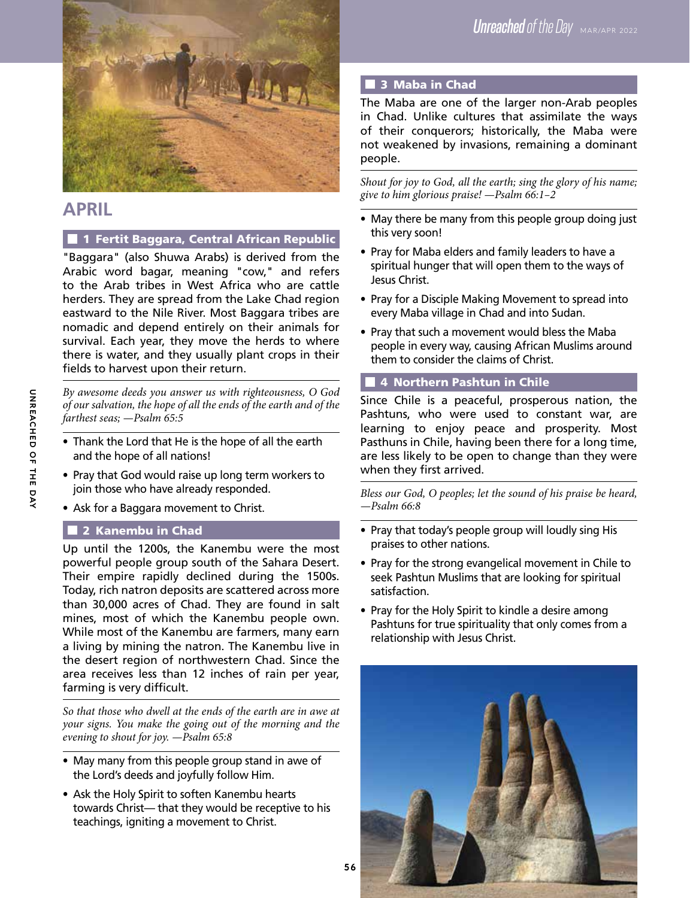

# **APRIL**

# **1 Fertit Baggara, Central African Republic**

"Baggara" (also Shuwa Arabs) is derived from the Arabic word bagar, meaning "cow," and refers to the Arab tribes in West Africa who are cattle herders. They are spread from the Lake Chad region eastward to the Nile River. Most Baggara tribes are nomadic and depend entirely on their animals for survival. Each year, they move the herds to where there is water, and they usually plant crops in their fields to harvest upon their return.

*By awesome deeds you answer us with righteousness, O God of our salvation, the hope of all the ends of the earth and of the farthest seas; —Psalm 65:5*

- Thank the Lord that He is the hope of all the earth and the hope of all nations!
- Pray that God would raise up long term workers to join those who have already responded.
- Ask for a Baggara movement to Christ.

# **2 Kanembu in Chad**

Up until the 1200s, the Kanembu were the most powerful people group south of the Sahara Desert. Their empire rapidly declined during the 1500s. Today, rich natron deposits are scattered across more than 30,000 acres of Chad. They are found in salt mines, most of which the Kanembu people own. While most of the Kanembu are farmers, many earn a living by mining the natron. The Kanembu live in the desert region of northwestern Chad. Since the area receives less than 12 inches of rain per year, farming is very difficult.

*So that those who dwell at the ends of the earth are in awe at your signs. You make the going out of the morning and the evening to shout for joy. —Psalm 65:8*

- May many from this people group stand in awe of the Lord's deeds and joyfully follow Him.
- Ask the Holy Spirit to soften Kanembu hearts towards Christ— that they would be receptive to his teachings, igniting a movement to Christ.

# 3 Maba in Chad

The Maba are one of the larger non-Arab peoples in Chad. Unlike cultures that assimilate the ways of their conquerors; historically, the Maba were not weakened by invasions, remaining a dominant people.

*Shout for joy to God, all the earth; sing the glory of his name; give to him glorious praise! —Psalm 66:1–2*

- May there be many from this people group doing just this very soon!
- Pray for Maba elders and family leaders to have a spiritual hunger that will open them to the ways of Jesus Christ.
- Pray for a Disciple Making Movement to spread into every Maba village in Chad and into Sudan.
- Pray that such a movement would bless the Maba people in every way, causing African Muslims around them to consider the claims of Christ.

# **4 Northern Pashtun in Chile**

Since Chile is a peaceful, prosperous nation, the Pashtuns, who were used to constant war, are learning to enjoy peace and prosperity. Most Pasthuns in Chile, having been there for a long time, are less likely to be open to change than they were when they first arrived.

*Bless our God, O peoples; let the sound of his praise be heard, —Psalm 66:8*

- Pray that today's people group will loudly sing His praises to other nations.
- Pray for the strong evangelical movement in Chile to seek Pashtun Muslims that are looking for spiritual satisfaction.
- Pray for the Holy Spirit to kindle a desire among Pashtuns for true spirituality that only comes from a relationship with Jesus Christ.

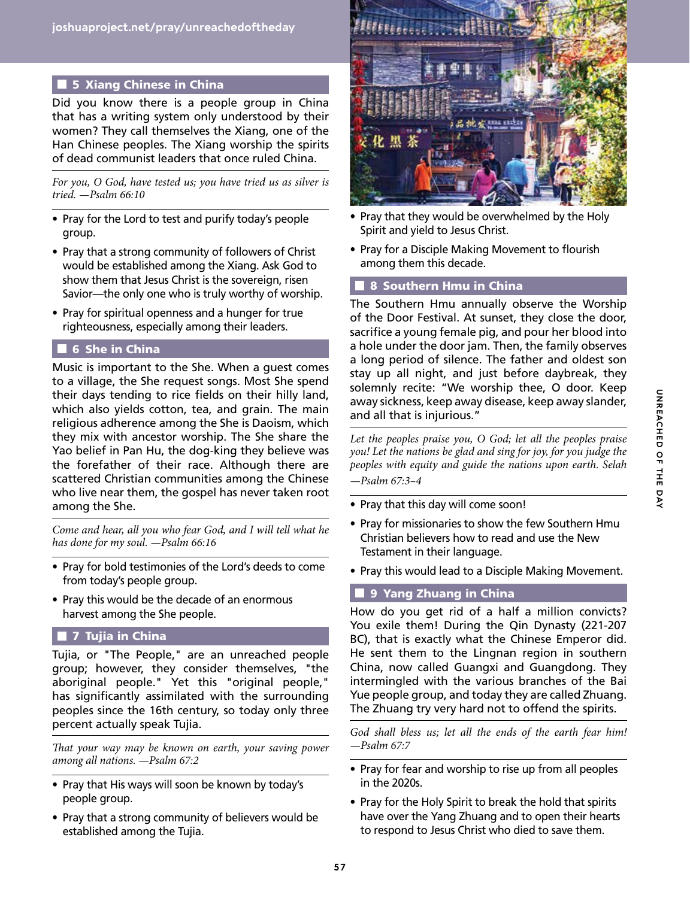# **5 Xiang Chinese in China**

Did you know there is a people group in China that has a writing system only understood by their women? They call themselves the Xiang, one of the Han Chinese peoples. The Xiang worship the spirits of dead communist leaders that once ruled China.

*For you, O God, have tested us; you have tried us as silver is tried. —Psalm 66:10*

- Pray for the Lord to test and purify today's people group.
- Pray that a strong community of followers of Christ would be established among the Xiang. Ask God to show them that Jesus Christ is the sovereign, risen Savior—the only one who is truly worthy of worship.
- Pray for spiritual openness and a hunger for true righteousness, especially among their leaders.

## **6 She in China**

Music is important to the She. When a guest comes to a village, the She request songs. Most She spend their days tending to rice fields on their hilly land, which also yields cotton, tea, and grain. The main religious adherence among the She is Daoism, which they mix with ancestor worship. The She share the Yao belief in Pan Hu, the dog-king they believe was the forefather of their race. Although there are scattered Christian communities among the Chinese who live near them, the gospel has never taken root among the She.

*Come and hear, all you who fear God, and I will tell what he has done for my soul. —Psalm 66:16*

- Pray for bold testimonies of the Lord's deeds to come from today's people group.
- Pray this would be the decade of an enormous harvest among the She people.

# **7 Tujia in China**

Tujia, or "The People," are an unreached people group; however, they consider themselves, "the aboriginal people." Yet this "original people," has significantly assimilated with the surrounding peoples since the 16th century, so today only three percent actually speak Tujia.

*That your way may be known on earth, your saving power among all nations. —Psalm 67:2*

- Pray that His ways will soon be known by today's people group.
- Pray that a strong community of believers would be established among the Tujia.



- Pray that they would be overwhelmed by the Holy Spirit and yield to Jesus Christ.
- Pray for a Disciple Making Movement to flourish among them this decade.

#### **8 Southern Hmu in China**

The Southern Hmu annually observe the Worship of the Door Festival. At sunset, they close the door, sacrifice a young female pig, and pour her blood into a hole under the door jam. Then, the family observes a long period of silence. The father and oldest son stay up all night, and just before daybreak, they solemnly recite: "We worship thee, O door. Keep away sickness, keep away disease, keep away slander, and all that is injurious."

*Let the peoples praise you, O God; let all the peoples praise you! Let the nations be glad and sing for joy, for you judge the peoples with equity and guide the nations upon earth. Selah —Psalm 67:3–4*

- Pray that this day will come soon!
- Pray for missionaries to show the few Southern Hmu Christian believers how to read and use the New Testament in their language.
- Pray this would lead to a Disciple Making Movement.

#### 9 Yang Zhuang in China

How do you get rid of a half a million convicts? You exile them! During the Qin Dynasty (221-207 BC), that is exactly what the Chinese Emperor did. He sent them to the Lingnan region in southern China, now called Guangxi and Guangdong. They intermingled with the various branches of the Bai Yue people group, and today they are called Zhuang. The Zhuang try very hard not to offend the spirits.

*God shall bless us; let all the ends of the earth fear him! —Psalm 67:7*

- Pray for fear and worship to rise up from all peoples in the 2020s.
- Pray for the Holy Spirit to break the hold that spirits have over the Yang Zhuang and to open their hearts to respond to Jesus Christ who died to save them.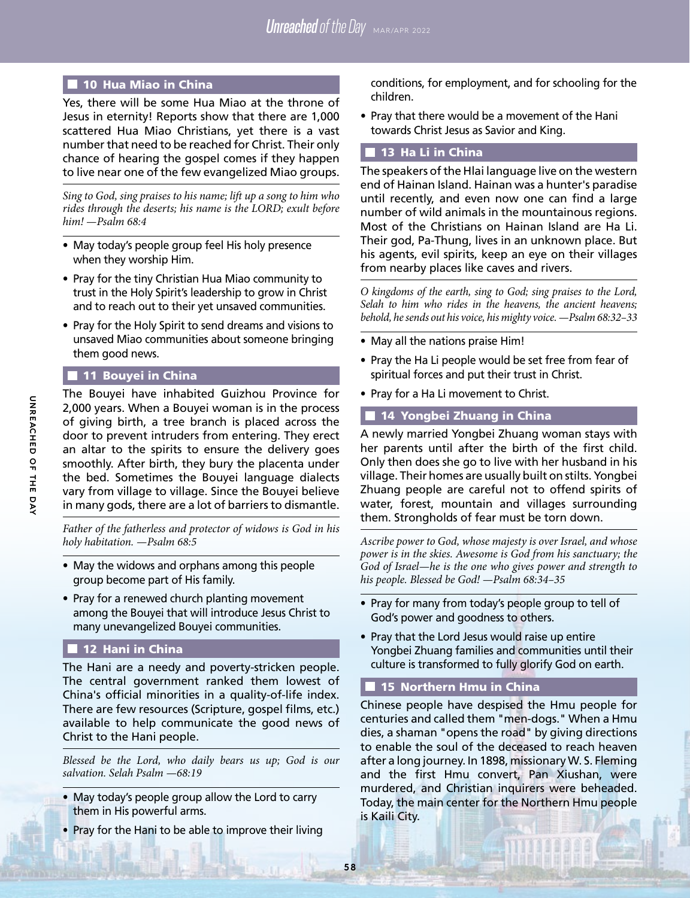#### ■ 10 Hua Miao in China

Yes, there will be some Hua Miao at the throne of Jesus in eternity! Reports show that there are 1,000 scattered Hua Miao Christians, yet there is a vast number that need to be reached for Christ. Their only chance of hearing the gospel comes if they happen to live near one of the few evangelized Miao groups.

*Sing to God, sing praises to his name; lift up a song to him who rides through the deserts; his name is the LORD; exult before him! —Psalm 68:4*

- May today's people group feel His holy presence when they worship Him.
- Pray for the tiny Christian Hua Miao community to trust in the Holy Spirit's leadership to grow in Christ and to reach out to their yet unsaved communities.
- Pray for the Holy Spirit to send dreams and visions to unsaved Miao communities about someone bringing them good news.

# **11 Bouyei in China**

The Bouyei have inhabited Guizhou Province for 2,000 years. When a Bouyei woman is in the process of giving birth, a tree branch is placed across the door to prevent intruders from entering. They erect an altar to the spirits to ensure the delivery goes smoothly. After birth, they bury the placenta under the bed. Sometimes the Bouyei language dialects vary from village to village. Since the Bouyei believe in many gods, there are a lot of barriers to dismantle.

*Father of the fatherless and protector of widows is God in his holy habitation. —Psalm 68:5*

- May the widows and orphans among this people group become part of His family.
- Pray for a renewed church planting movement among the Bouyei that will introduce Jesus Christ to many unevangelized Bouyei communities.

#### 12 Hani in China

The Hani are a needy and poverty-stricken people. The central government ranked them lowest of China's official minorities in a quality-of-life index. There are few resources (Scripture, gospel films, etc.) available to help communicate the good news of Christ to the Hani people.

*Blessed be the Lord, who daily bears us up; God is our salvation. Selah Psalm —68:19*

- May today's people group allow the Lord to carry them in His powerful arms.
- Pray for the Hani to be able to improve their living

conditions, for employment, and for schooling for the children.

• Pray that there would be a movement of the Hani towards Christ Jesus as Savior and King.

## 13 Ha Li in China

The speakers of the Hlai language live on the western end of Hainan Island. Hainan was a hunter's paradise until recently, and even now one can find a large number of wild animals in the mountainous regions. Most of the Christians on Hainan Island are Ha Li. Their god, Pa-Thung, lives in an unknown place. But his agents, evil spirits, keep an eye on their villages from nearby places like caves and rivers.

*O kingdoms of the earth, sing to God; sing praises to the Lord, Selah to him who rides in the heavens, the ancient heavens; behold, he sends out his voice, his mighty voice. —Psalm 68:32–33*

- May all the nations praise Him!
- Pray the Ha Li people would be set free from fear of spiritual forces and put their trust in Christ.
- Pray for a Ha Li movement to Christ.

#### 14 Yongbei Zhuang in China

A newly married Yongbei Zhuang woman stays with her parents until after the birth of the first child. Only then does she go to live with her husband in his village. Their homes are usually built on stilts. Yongbei Zhuang people are careful not to offend spirits of water, forest, mountain and villages surrounding them. Strongholds of fear must be torn down.

*Ascribe power to God, whose majesty is over Israel, and whose power is in the skies. Awesome is God from his sanctuary; the God of Israel—he is the one who gives power and strength to his people. Blessed be God! —Psalm 68:34–35*

- Pray for many from today's people group to tell of God's power and goodness to others.
- Pray that the Lord Jesus would raise up entire Yongbei Zhuang families and communities until their culture is transformed to fully glorify God on earth.

# **15 Northern Hmu in China**

Chinese people have despised the Hmu people for centuries and called them "men-dogs." When a Hmu dies, a shaman "opens the road" by giving directions to enable the soul of the deceased to reach heaven after a long journey. In 1898, missionary W. S. Fleming and the first Hmu convert, Pan Xiushan, were murdered, and Christian inquirers were beheaded. Today, the main center for the Northern Hmu people is Kaili City.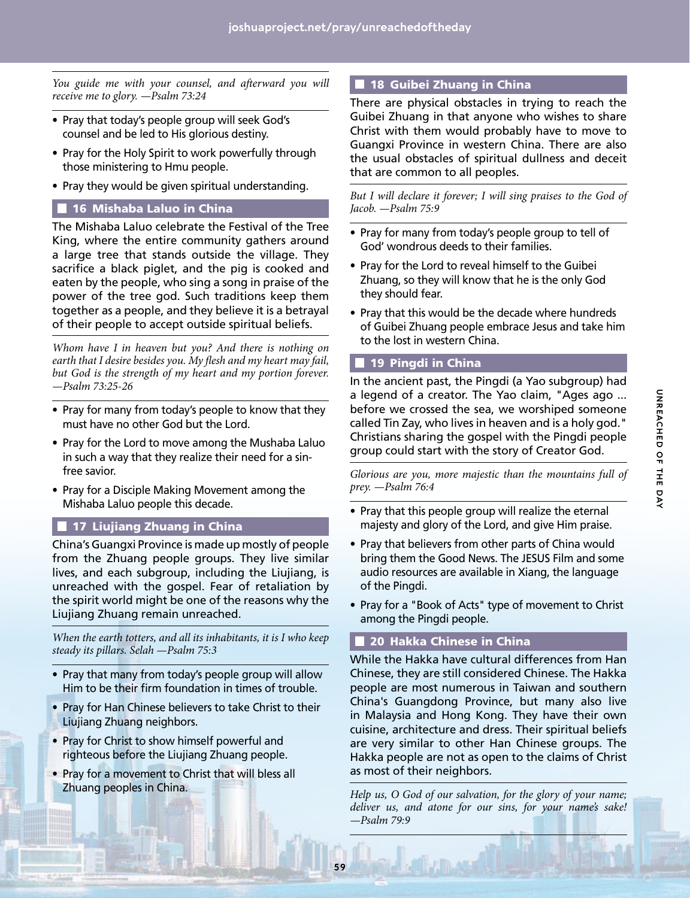You guide me with your counsel, and afterward you will *receive me to glory. —Psalm 73:24*

- Pray that today's people group will seek God's counsel and be led to His glorious destiny.
- Pray for the Holy Spirit to work powerfully through those ministering to Hmu people.
- Pray they would be given spiritual understanding.

#### **16 Mishaba Laluo in China**

The Mishaba Laluo celebrate the Festival of the Tree King, where the entire community gathers around a large tree that stands outside the village. They sacrifice a black piglet, and the pig is cooked and eaten by the people, who sing a song in praise of the power of the tree god. Such traditions keep them together as a people, and they believe it is a betrayal of their people to accept outside spiritual beliefs.

*Whom have I in heaven but you? And there is nothing on earth that I desire besides you. My flesh and my heart may fail, but God is the strength of my heart and my portion forever. —Psalm 73:25-26*

- Pray for many from today's people to know that they must have no other God but the Lord.
- Pray for the Lord to move among the Mushaba Laluo in such a way that they realize their need for a sinfree savior.
- Pray for a Disciple Making Movement among the Mishaba Laluo people this decade.

#### **17 Liujiang Zhuang in China**

China's Guangxi Province is made up mostly of people from the Zhuang people groups. They live similar lives, and each subgroup, including the Liujiang, is unreached with the gospel. Fear of retaliation by the spirit world might be one of the reasons why the Liujiang Zhuang remain unreached.

*When the earth totters, and all its inhabitants, it is I who keep steady its pillars. Selah —Psalm 75:3*

- Pray that many from today's people group will allow Him to be their firm foundation in times of trouble.
- Pray for Han Chinese believers to take Christ to their Liujiang Zhuang neighbors.
- Pray for Christ to show himself powerful and righteous before the Liujiang Zhuang people.
- Pray for a movement to Christ that will bless all Zhuang peoples in China.

#### **18 Guibei Zhuang in China**

There are physical obstacles in trying to reach the Guibei Zhuang in that anyone who wishes to share Christ with them would probably have to move to Guangxi Province in western China. There are also the usual obstacles of spiritual dullness and deceit that are common to all peoples.

*But I will declare it forever; I will sing praises to the God of Jacob. —Psalm 75:9*

- Pray for many from today's people group to tell of God' wondrous deeds to their families.
- Pray for the Lord to reveal himself to the Guibei Zhuang, so they will know that he is the only God they should fear.
- Pray that this would be the decade where hundreds of Guibei Zhuang people embrace Jesus and take him to the lost in western China.

#### 19 Pingdi in China

In the ancient past, the Pingdi (a Yao subgroup) had a legend of a creator. The Yao claim, "Ages ago ... before we crossed the sea, we worshiped someone called Tin Zay, who lives in heaven and is a holy god." Christians sharing the gospel with the Pingdi people group could start with the story of Creator God.

*Glorious are you, more majestic than the mountains full of prey. —Psalm 76:4*

- Pray that this people group will realize the eternal majesty and glory of the Lord, and give Him praise.
- Pray that believers from other parts of China would bring them the Good News. The JESUS Film and some audio resources are available in Xiang, the language of the Pingdi.
- Pray for a "Book of Acts" type of movement to Christ among the Pingdi people.

#### **20 Hakka Chinese in China**

While the Hakka have cultural differences from Han Chinese, they are still considered Chinese. The Hakka people are most numerous in Taiwan and southern China's Guangdong Province, but many also live in Malaysia and Hong Kong. They have their own cuisine, architecture and dress. Their spiritual beliefs are very similar to other Han Chinese groups. The Hakka people are not as open to the claims of Christ as most of their neighbors.

*Help us, O God of our salvation, for the glory of your name; deliver us, and atone for our sins, for your name's sake! —Psalm 79:9*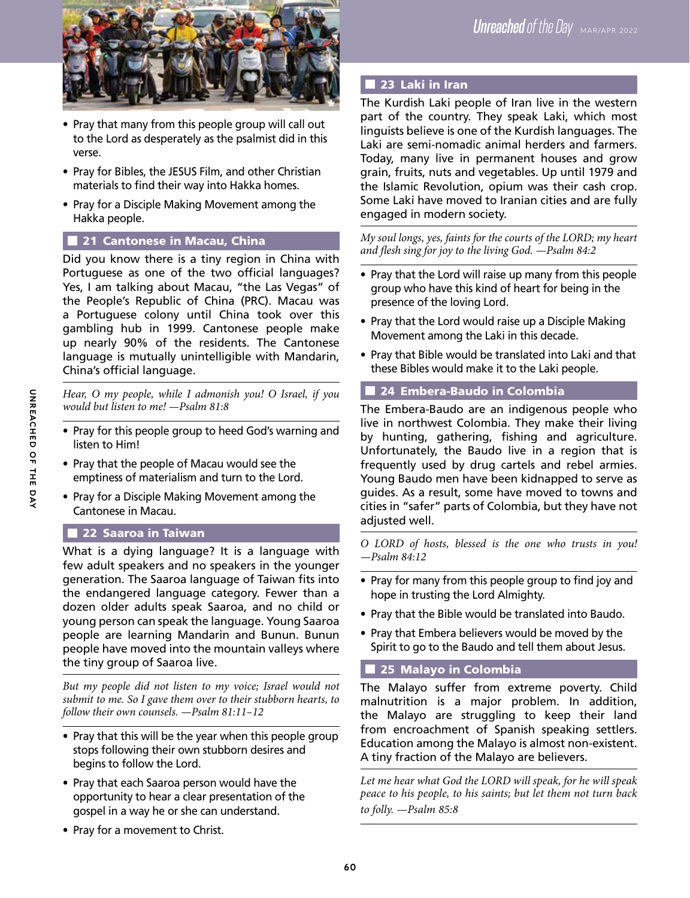

- Pray that many from this people group will call out to the Lord as desperately as the psalmist did in this verse.
- Pray for Bibles, the JESUS Film, and other Christian materials to find their way into Hakka homes.
- Pray for a Disciple Making Movement among the Hakka people.

# 21 Cantonese in Macau, China

Did you know there is a tiny region in China with Portuguese as one of the two official languages? Yes, I am talking about Macau, "the Las Vegas" of the People's Republic of China (PRC). Macau was a Portuguese colony until China took over this gambling hub in 1999. Cantonese people make up nearly 90% of the residents. The Cantonese language is mutually unintelligible with Mandarin, China's official language.

*Hear, O my people, while I admonish you! O Israel, if you would but listen to me! —Psalm 81:8*

- Pray for this people group to heed God's warning and listen to Him!
- Pray that the people of Macau would see the emptiness of materialism and turn to the Lord.
- Pray for a Disciple Making Movement among the Cantonese in Macau.

# 22 Saaroa in Taiwan

What is a dying language? It is a language with few adult speakers and no speakers in the younger generation. The Saaroa language of Taiwan fits into the endangered language category. Fewer than a dozen older adults speak Saaroa, and no child or young person can speak the language. Young Saaroa people are learning Mandarin and Bunun. Bunun people have moved into the mountain valleys where the tiny group of Saaroa live.

*But my people did not listen to my voice; Israel would not submit to me. So I gave them over to their stubborn hearts, to follow their own counsels. —Psalm 81:11–12*

- Pray that this will be the year when this people group stops following their own stubborn desires and begins to follow the Lord.
- Pray that each Saaroa person would have the opportunity to hear a clear presentation of the gospel in a way he or she can understand.
- Pray for a movement to Christ.

# **23 Laki in Iran**

The Kurdish Laki people of Iran live in the western part of the country. They speak Laki, which most linguists believe is one of the Kurdish languages. The Laki are semi-nomadic animal herders and farmers. Today, many live in permanent houses and grow grain, fruits, nuts and vegetables. Up until 1979 and the Islamic Revolution, opium was their cash crop. Some Laki have moved to Iranian cities and are fully engaged in modern society.

*My soul longs, yes, faints for the courts of the LORD; my heart and flesh sing for joy to the living God. —Psalm 84:2*

- Pray that the Lord will raise up many from this people group who have this kind of heart for being in the presence of the loving Lord.
- Pray that the Lord would raise up a Disciple Making Movement among the Laki in this decade.
- Pray that Bible would be translated into Laki and that these Bibles would make it to the Laki people.

# 24 Embera-Baudo in Colombia

The Embera-Baudo are an indigenous people who live in northwest Colombia. They make their living by hunting, gathering, fishing and agriculture. Unfortunately, the Baudo live in a region that is frequently used by drug cartels and rebel armies. Young Baudo men have been kidnapped to serve as guides. As a result, some have moved to towns and cities in "safer" parts of Colombia, but they have not adjusted well.

*O LORD of hosts, blessed is the one who trusts in you! —Psalm 84:12*

- Pray for many from this people group to find joy and hope in trusting the Lord Almighty.
- Pray that the Bible would be translated into Baudo.
- Pray that Embera believers would be moved by the Spirit to go to the Baudo and tell them about Jesus.

# **25 Malayo in Colombia**

The Malayo suffer from extreme poverty. Child malnutrition is a major problem. In addition, the Malayo are struggling to keep their land from encroachment of Spanish speaking settlers. Education among the Malayo is almost non-existent. A tiny fraction of the Malayo are believers.

*Let me hear what God the LORD will speak, for he will speak peace to his people, to his saints; but let them not turn back to folly. —Psalm 85:8*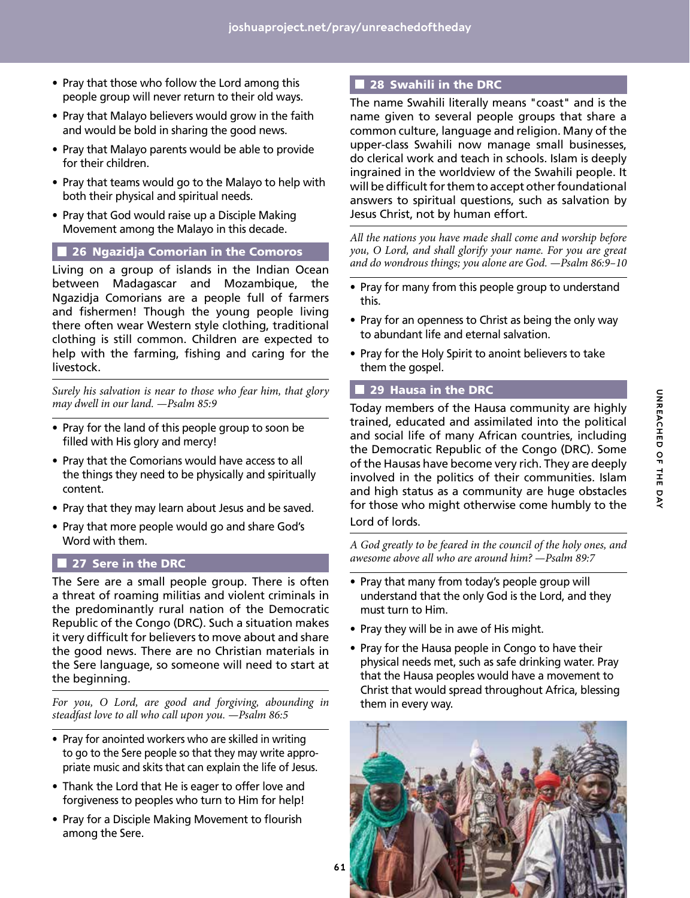- Pray that those who follow the Lord among this people group will never return to their old ways.
- Pray that Malayo believers would grow in the faith and would be bold in sharing the good news.
- Pray that Malayo parents would be able to provide for their children.
- Pray that teams would go to the Malayo to help with both their physical and spiritual needs.
- Pray that God would raise up a Disciple Making Movement among the Malayo in this decade.

### 26 Ngazidja Comorian in the Comoros

Living on a group of islands in the Indian Ocean between Madagascar and Mozambique, the Ngazidja Comorians are a people full of farmers and fishermen! Though the young people living there often wear Western style clothing, traditional clothing is still common. Children are expected to help with the farming, fishing and caring for the livestock.

*Surely his salvation is near to those who fear him, that glory may dwell in our land. —Psalm 85:9*

- Pray for the land of this people group to soon be filled with His glory and mercy!
- Pray that the Comorians would have access to all the things they need to be physically and spiritually content.
- Pray that they may learn about Jesus and be saved.
- Pray that more people would go and share God's Word with them.

# 27 Sere in the DRC

The Sere are a small people group. There is often a threat of roaming militias and violent criminals in the predominantly rural nation of the Democratic Republic of the Congo (DRC). Such a situation makes it very difficult for believers to move about and share the good news. There are no Christian materials in the Sere language, so someone will need to start at the beginning.

*For you, O Lord, are good and forgiving, abounding in steadfast love to all who call upon you. —Psalm 86:5*

- Pray for anointed workers who are skilled in writing to go to the Sere people so that they may write appropriate music and skits that can explain the life of Jesus.
- Thank the Lord that He is eager to offer love and forgiveness to peoples who turn to Him for help!
- Pray for a Disciple Making Movement to flourish among the Sere.

# **28 Swahili in the DRC**

The name Swahili literally means "coast" and is the name given to several people groups that share a common culture, language and religion. Many of the upper-class Swahili now manage small businesses, do clerical work and teach in schools. Islam is deeply ingrained in the worldview of the Swahili people. It will be difficult for them to accept other foundational answers to spiritual questions, such as salvation by Jesus Christ, not by human effort.

*All the nations you have made shall come and worship before you, O Lord, and shall glorify your name. For you are great and do wondrous things; you alone are God. —Psalm 86:9–10*

- Pray for many from this people group to understand this.
- Pray for an openness to Christ as being the only way to abundant life and eternal salvation.
- Pray for the Holy Spirit to anoint believers to take them the gospel.

# **29 Hausa in the DRC**

Today members of the Hausa community are highly trained, educated and assimilated into the political and social life of many African countries, including the Democratic Republic of the Congo (DRC). Some of the Hausas have become very rich. They are deeply involved in the politics of their communities. Islam and high status as a community are huge obstacles for those who might otherwise come humbly to the Lord of lords.

*A God greatly to be feared in the council of the holy ones, and awesome above all who are around him? —Psalm 89:7*

- Pray that many from today's people group will understand that the only God is the Lord, and they must turn to Him.
- Pray they will be in awe of His might.
- Pray for the Hausa people in Congo to have their physical needs met, such as safe drinking water. Pray that the Hausa peoples would have a movement to Christ that would spread throughout Africa, blessing them in every way.